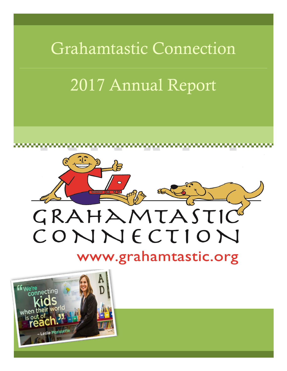

2017 Annual Report



www.grahamtastic.org

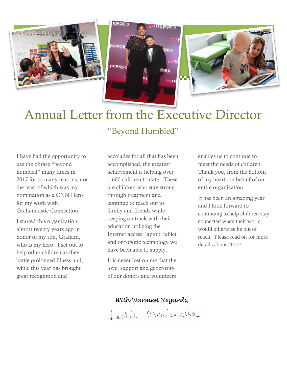



# Annual Letter from the Executive Director

EROES

EROP

### "Beyond Humbled"

I have had the opportunity to use the phrase "beyond humbled" many times in 2017 for so many reasons, not the least of which was my nomination as a CNN Hero for my work with Grahamtastic Connection.

I started this organization almost twenty years ago in honor of my son, Graham, who is my hero. I set out to help other children as they battle prolonged illness and, while this year has brought great recognition and

accolades for all that has been accomplished, the greatest achievement is helping over 1,600 children to date. These are children who stay strong through treatment and continue to reach out to family and friends while keeping on track with their education utilizing the Internet access, laptop, tablet and or robotic technology we have been able to supply.

It is never lost on me that the love, support and generosity of our donors and volunteers

enables us to continue to meet the needs of children. Thank you, from the bottom of my heart, on behalf of our entire organization.

It has been an amazing year and I look forward to continuing to help children stay connected when their world would otherwise be out of reach. Please read on for more details about 2017!

*With Warmest Regards,*

organization with stability nd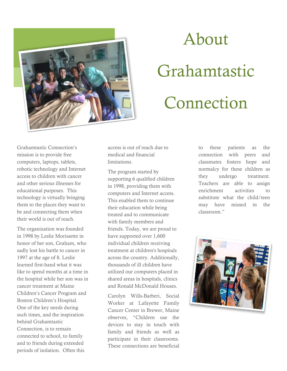

# About

# Grahamtastic Connection

Grahamtastic Connection's mission is to provide free computers, laptops, tablets, robotic technology and Internet access to children with cancer and other serious illnesses for educational purposes. This technology is virtually bringing them to the places they want to be and connecting them when their world is out of reach.

The organization was founded in 1998 by Leslie Morissette in honor of her son, Graham, who sadly lost his battle to cancer in 1997 at the age of 8. Leslie learned first-hand what it was like to spend months at a time in the hospital while her son was in cancer treatment at Maine Children's Cancer Program and Boston Children's Hospital. One of the key needs during such times, and the inspiration behind Grahamtastic Connection, is to remain connected to school, to family and to friends during extended periods of isolation. Often this

access is out of reach due to medical and financial limitations.

The program started by supporting 6 qualified children in 1998, providing them with computers and Internet access. This enabled them to continue their education while being treated and to communicate with family members and friends. Today, we are proud to have supported over 1,600 individual children receiving treatment at children's hospitals across the country. Additionally, thousands of ill children have utilized our computers placed in shared areas in hospitals, clinics and Ronald McDonald Houses.

Carolyn Wills-Barberi, Social Worker at Lafayette Family Cancer Center in Brewer, Maine observes, "Children use the devices to stay in touch with family and friends as well as participate in their classrooms. These connections are beneficial to these patients as the connection with peers and classmates fosters hope and normalcy for these children as they undergo treatment. Teachers are able to assign enrichment activities to substitute what the child/teen may have missed in the classroom."

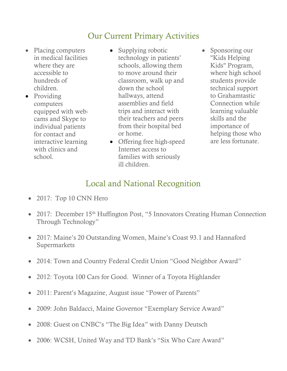### Our Current Primary Activities

- Placing computers in medical facilities where they are accessible to hundreds of children.
- Providing computers equipped with webcams and Skype to individual patients for contact and interactive learning with clinics and school.
- Supplying robotic technology in patients' schools, allowing them to move around their classroom, walk up and down the school hallways, attend assemblies and field trips and interact with their teachers and peers from their hospital bed or home.
- Offering free high-speed Internet access to families with seriously ill children.
- Sponsoring our "Kids Helping Kids" Program, where high school students provide technical support to Grahamtastic Connection while learning valuable skills and the importance of helping those who are less fortunate.

### Local and National Recognition

- 2017: Top 10 CNN Hero
- 2017: December 15<sup>th</sup> Huffington Post, "5 Innovators Creating Human Connection Through Technology"
- 2 1 and Hannaford • 2017: Maine's 20 Outstanding Women, Maine's Coast 93.1 and Hannaford Supermarkets
- $\mathbf{a}$  to facilities where  $\mathbf{a}$  to facilities where  $\mathbf{a}$ • 2014: Town and Country Federal Credit Union "Good Neighbor Award"
- 2012: Toyota 100 Cars for Good. Winner of a Toyota Highlander
- 2011: Parent's Magazine, August issue "Power of Parents"
- 2009: John Baldacci, Maine Governor "Exemplary Service Award"
- 2008: Guest on CNBC's "The Big Idea" with Danny Deutsch
- 2006: WCSH, United Way and TD Bank's "Six Who Care Award"  $p = p \cdot \text{max}$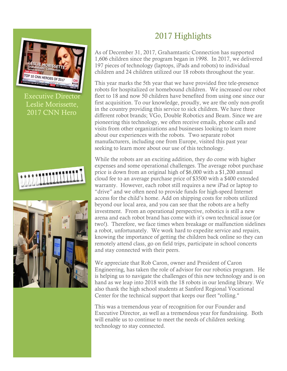

## 2017 Highlights

As of December 31, 2017, Grahamtastic Connection has supported 1,606 children since the program began in 1998. In 2017, we delivered 197 pieces of technology (laptops, iPads and robots) to individual children and 24 children utilized our 18 robots throughout the year.

This year marks the 5th year that we have provided free tele-presence robots for hospitalized or homebound children. We increased our robot fleet to 18 and now 50 children have benefited from using one since our first acquisition. To our knowledge, proudly, we are the only non-profit in the country providing this service to sick children. We have three different robot brands; VGo, Double Robotics and Beam. Since we are pioneering this technology, we often receive emails, phone calls and visits from other organizations and businesses looking to learn more about our experiences with the robots. Two separate robot manufacturers, including one from Europe, visited this past year seeking to learn more about our use of this technology.

While the robots are an exciting addition, they do come with higher expenses and some operational challenges. The average robot purchase price is down from an original high of \$6,000 with a \$1,200 annual cloud fee to an average purchase price of \$3500 with a \$400 extended warranty. However, each robot still requires a new iPad or laptop to "drive" and we often need to provide funds for high-speed Internet access for the child's home. Add on shipping costs for robots utilized beyond our local area, and you can see that the robots are a hefty investment. From an operational perspective, robotics is still a new arena and each robot brand has come with it's own technical issue (or two!). Therefore, we face times when breakage or malfunction sidelines a robot, unfortunately. We work hard to expedite service and repairs, knowing the importance of getting the children back online so they can remotely attend class, go on field trips, participate in school concerts and stay connected with their peers.

We appreciate that Rob Caron, owner and President of Caron Engineering, has taken the role of advisor for our robotics program. He is helping us to navigate the challenges of this new technology and is on hand as we leap into 2018 with the 18 robots in our lending library. We also thank the high school students at Sanford Regional Vocational Center for the technical support that keeps our fleet "rolling."

This was a tremendous year of recognition for our Founder and Executive Director, as well as a tremendous year for fundraising. Both will enable us to continue to meet the needs of children seeking technology to stay connected.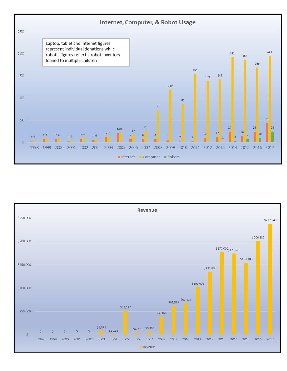

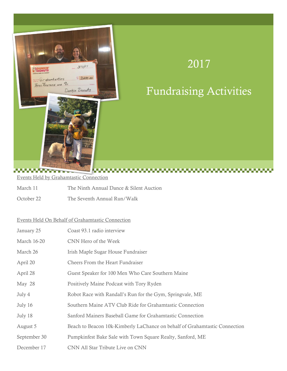

# 2017

# Fundraising Activities

Events Held by Grahamtastic Connection

- March 11 The Ninth Annual Dance & Silent Auction
- October 22 The Seventh Annual Run/Walk

### Events Held On Behalf of Grahamtastic Connection

| January 25         | Coast 93.1 radio interview                                                 |
|--------------------|----------------------------------------------------------------------------|
| <b>March 16-20</b> | CNN Hero of the Week                                                       |
| March 26           | Irish Maple Sugar House Fundraiser                                         |
| April 20           | <b>Cheers From the Heart Fundraiser</b>                                    |
| April 28           | Guest Speaker for 100 Men Who Care Southern Maine                          |
| May 28             | Positively Maine Podcast with Tory Ryden                                   |
| July 4             | Robot Race with Randall's Run for the Gym, Springvale, ME                  |
| July 16            | Southern Maine ATV Club Ride for Grahamtastic Connection                   |
| July 18            | Sanford Mainers Baseball Game for Grahamtastic Connection                  |
| August 5           | Beach to Beacon 10k-Kimberly LaChance on behalf of Grahamtastic Connection |
| September 30       | Pumpkinfest Bake Sale with Town Square Realty, Sanford, ME                 |
| December 17        | CNN All Star Tribute Live on CNN                                           |